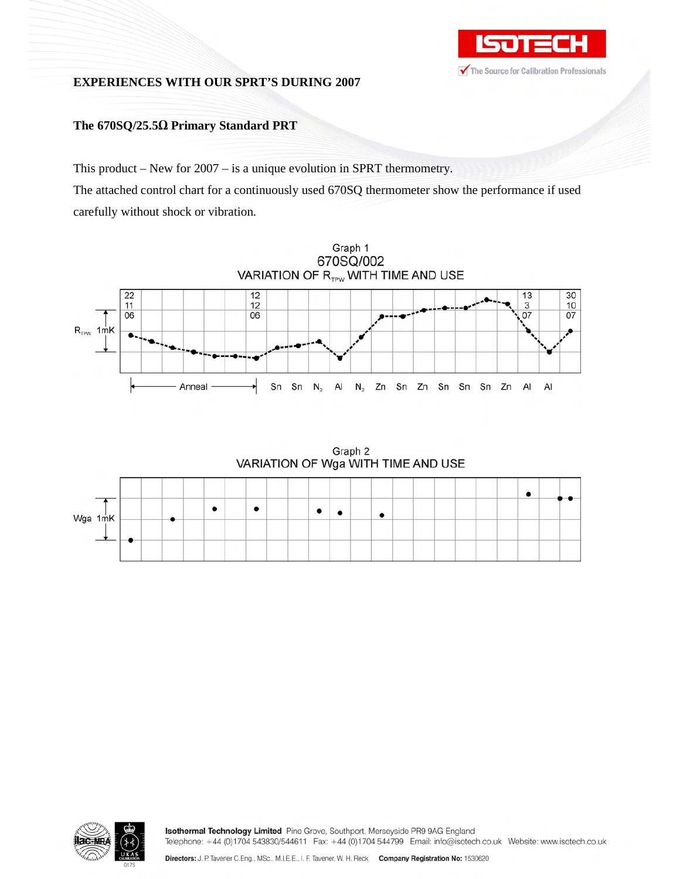

# **EXPERIENCES WITH OUR SPRT'S DURING 2007**

# **The 670SQ/25.5 Primary Standard PRT**

This product – New for 2007 – is a unique evolution in SPRT thermometry. The attached control chart for a continuously used 670SQ thermometer show the performance if used carefully without shock or vibration.



Graph 2 VARIATION OF Wga WITH TIME AND USE

| Wga 1mK |                          |     |  |           |  |  |  |  |  |  |  |  |  |
|---------|--------------------------|-----|--|-----------|--|--|--|--|--|--|--|--|--|
|         | $\overline{\phantom{a}}$ |     |  | $\bullet$ |  |  |  |  |  |  |  |  |  |
|         |                          |     |  |           |  |  |  |  |  |  |  |  |  |
|         |                          | - 1 |  |           |  |  |  |  |  |  |  |  |  |



Isothermal Technology Limited Pine Grove, Southport, Merseyside PR9 9AG England Telephone: +44 (0)1704 543830/544611 Fax: +44 (0)1704 544799 Email: info@isotech.co.uk Website: www.isotech.co.uk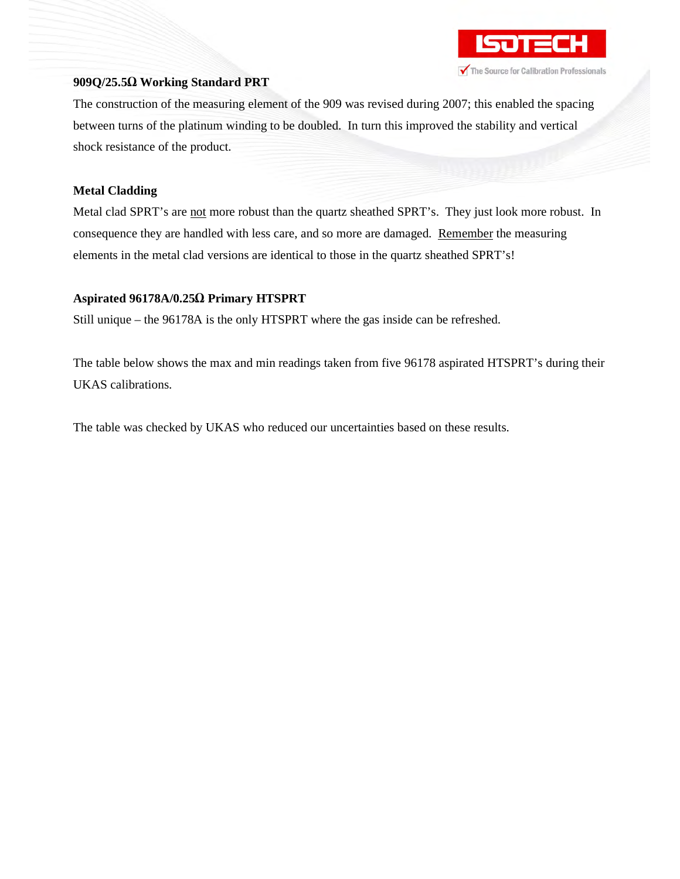

#### **909Q/25.5 Working Standard PRT**

The construction of the measuring element of the 909 was revised during 2007; this enabled the spacing between turns of the platinum winding to be doubled. In turn this improved the stability and vertical shock resistance of the product.

## **Metal Cladding**

Metal clad SPRT's are not more robust than the quartz sheathed SPRT's. They just look more robust. In consequence they are handled with less care, and so more are damaged. Remember the measuring elements in the metal clad versions are identical to those in the quartz sheathed SPRT's!

## **Aspirated 96178A/0.25 Primary HTSPRT**

Still unique – the 96178A is the only HTSPRT where the gas inside can be refreshed.

The table below shows the max and min readings taken from five 96178 aspirated HTSPRT's during their UKAS calibrations.

The table was checked by UKAS who reduced our uncertainties based on these results.